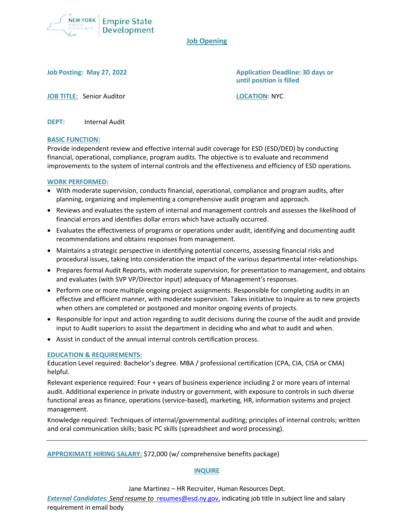

# **Job Opening**

**Job Posting: May 27, 2022 Application Deadline: 30 days or until position is filled**

**JOB TITLE:** Senior Auditor **LOCATION:** NYC

**DEPT:** Internal Audit

### **BASIC FUNCTION:**

Provide independent review and effective internal audit coverage for ESD (ESD/DED) by conducting financial, operational, compliance, program audits. The objective is to evaluate and recommend improvements to the system of internal controls and the effectiveness and efficiency of ESD operations.

### **WORK PERFORMED:**

- With moderate supervision, conducts financial, operational, compliance and program audits, after planning, organizing and implementing a comprehensive audit program and approach.
- Reviews and evaluates the system of internal and management controls and assesses the likelihood of financial errors and identifies dollar errors which have actually occurred.
- Evaluates the effectiveness of programs or operations under audit, identifying and documenting audit recommendations and obtains responses from management.
- Maintains a strategic perspective in identifying potential concerns, assessing financial risks and procedural issues, taking into consideration the impact of the various departmental inter-relationships.
- Prepares formal Audit Reports, with moderate supervision, for presentation to management, and obtains and evaluates (with SVP VP/Director input) adequacy of Management's responses.
- Perform one or more multiple ongoing project assignments. Responsible for completing audits in an effective and efficient manner, with moderate supervision. Takes initiative to inquire as to new projects when others are completed or postponed and monitor ongoing events of projects.
- Responsible for input and action regarding to audit decisions during the course of the audit and provide input to Audit superiors to assist the department in deciding who and what to audit and when.
- Assist in conduct of the annual internal controls certification process.

#### **EDUCATION & REQUIREMENTS:**

Education Level required: Bachelor's degree. MBA / professional certification (CPA, CIA, CISA or CMA) helpful.

Relevant experience required: Four + years of business experience including 2 or more years of internal audit. Additional experience in private industry or government, with exposure to controls in such diverse functional areas as finance, operations (service-based), marketing, HR, information systems and project management.

Knowledge required: Techniques of internal/governmental auditing; principles of internal controls; written and oral communication skills; basic PC skills (spreadsheet and word processing).

**APPROXIMATE HIRING SALARY:** \$72,000 (w/ comprehensive benefits package)

## **INQUIRE**

Jane Martinez – HR Recruiter, Human Resources Dept.

*External Candidates: Send resume t[o](mailto:resumes@esd.ny.gov)* [resumes@esd.ny.gov,](mailto:resumes@esd.ny.gov) indicating job title in subject line and salary requirement in email body